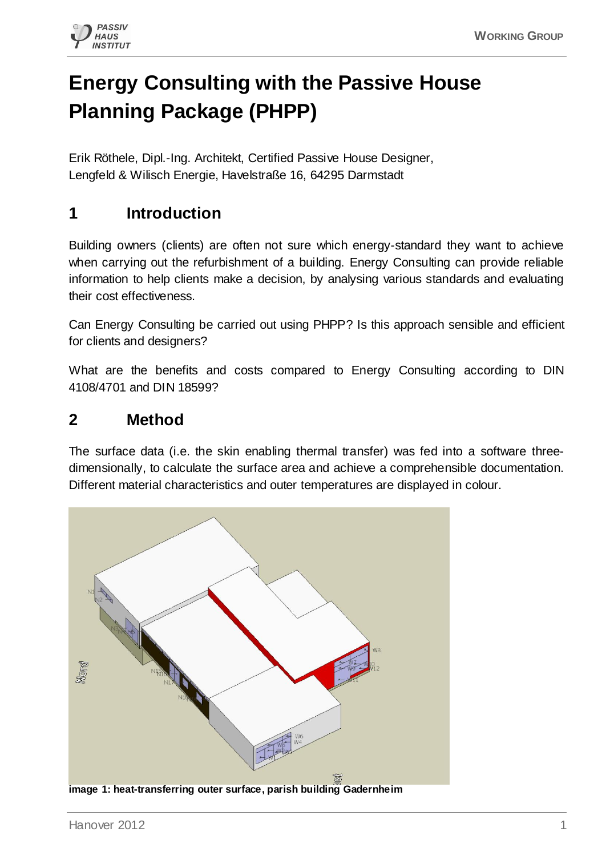

# **Energy Consulting with the Passive House Planning Package (PHPP)**

Erik Röthele, Dipl.-Ing. Architekt, Certified Passive House Designer, Lengfeld & Wilisch Energie, Havelstraße 16, 64295 Darmstadt

# **1 Introduction**

Building owners (clients) are often not sure which energy-standard they want to achieve when carrying out the refurbishment of a building. Energy Consulting can provide reliable information to help clients make a decision, by analysing various standards and evaluating their cost effectiveness.

Can Energy Consulting be carried out using PHPP? Is this approach sensible and efficient for clients and designers?

What are the benefits and costs compared to Energy Consulting according to DIN 4108/4701 and DIN 18599?

## **2 Method**

The surface data (i.e. the skin enabling thermal transfer) was fed into a software threedimensionally, to calculate the surface area and achieve a comprehensible documentation. Different material characteristics and outer temperatures are displayed in colour.

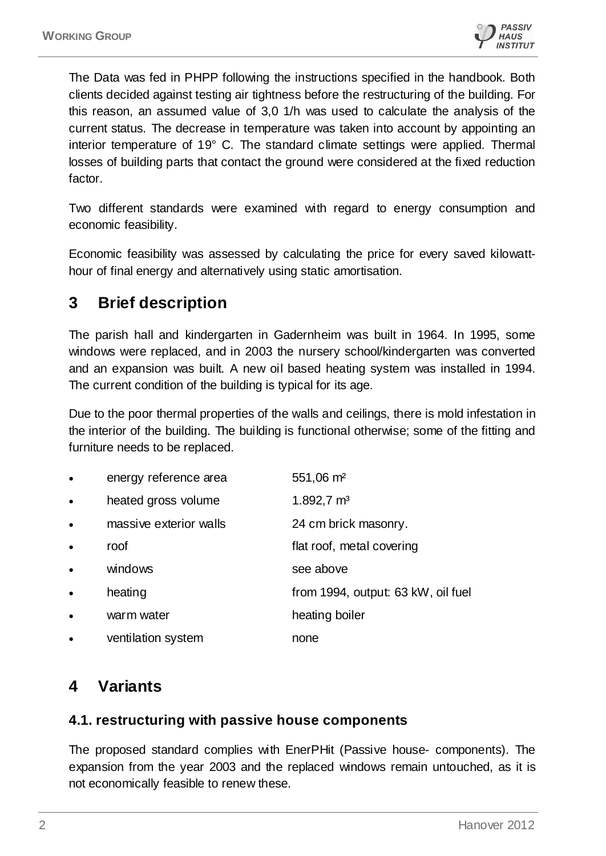

The Data was fed in PHPP following the instructions specified in the handbook. Both clients decided against testing air tightness before the restructuring of the building. For this reason, an assumed value of 3,0 1/h was used to calculate the analysis of the current status. The decrease in temperature was taken into account by appointing an interior temperature of 19° C. The standard climate settings were applied. Thermal losses of building parts that contact the ground were considered at the fixed reduction factor.

Two different standards were examined with regard to energy consumption and economic feasibility.

Economic feasibility was assessed by calculating the price for every saved kilowatthour of final energy and alternatively using static amortisation.

## **3 Brief description**

The parish hall and kindergarten in Gadernheim was built in 1964. In 1995, some windows were replaced, and in 2003 the nursery school/kindergarten was converted and an expansion was built. A new oil based heating system was installed in 1994. The current condition of the building is typical for its age.

Due to the poor thermal properties of the walls and ceilings, there is mold infestation in the interior of the building. The building is functional otherwise; some of the fitting and furniture needs to be replaced.

| $\bullet$ | energy reference area  | 551,06 m <sup>2</sup>              |
|-----------|------------------------|------------------------------------|
| $\bullet$ | heated gross volume    | $1.892,7 \text{ m}^3$              |
| $\bullet$ | massive exterior walls | 24 cm brick masonry.               |
| $\bullet$ | roof                   | flat roof, metal covering          |
| $\bullet$ | windows                | see above                          |
|           | heating                | from 1994, output: 63 kW, oil fuel |
|           | warm water             | heating boiler                     |
| $\bullet$ | ventilation system     | none                               |

## **4 Variants**

#### **4.1. restructuring with passive house components**

The proposed standard complies with EnerPHit (Passive house- components). The expansion from the year 2003 and the replaced windows remain untouched, as it is not economically feasible to renew these.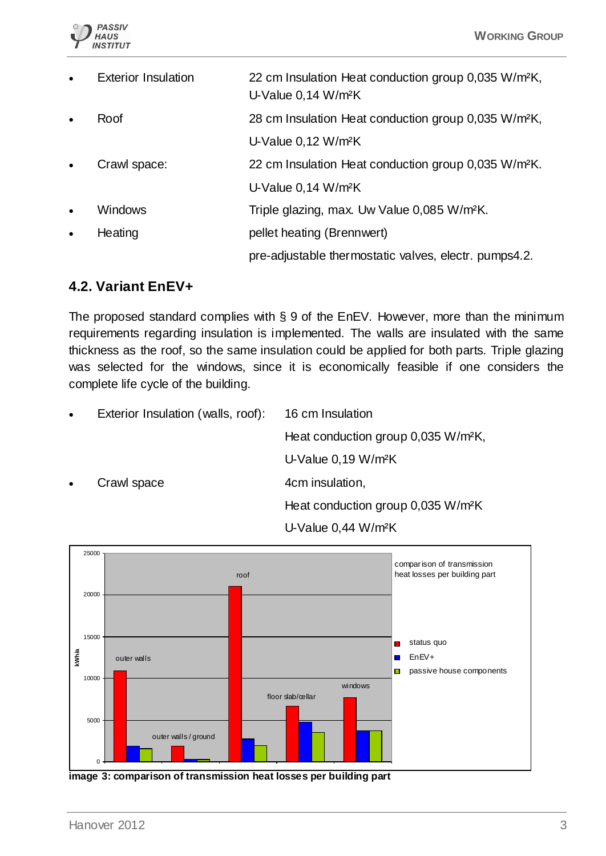

| $\bullet$ | <b>Exterior Insulation</b> | 22 cm Insulation Heat conduction group 0,035 W/m <sup>2</sup> K,<br>U-Value 0,14 W/m <sup>2</sup> K |
|-----------|----------------------------|-----------------------------------------------------------------------------------------------------|
| $\bullet$ | Roof                       | 28 cm Insulation Heat conduction group 0,035 W/m <sup>2</sup> K,                                    |
|           |                            | U-Value 0,12 W/m <sup>2</sup> K                                                                     |
| $\bullet$ | Crawl space:               | 22 cm Insulation Heat conduction group 0,035 W/m <sup>2</sup> K.                                    |
|           |                            | U-Value 0,14 W/m <sup>2</sup> K                                                                     |
| $\bullet$ | <b>Windows</b>             | Triple glazing, max. Uw Value 0,085 W/m <sup>2</sup> K.                                             |
| $\bullet$ | Heating                    | pellet heating (Brennwert)                                                                          |
|           |                            | pre-adjustable thermostatic valves, electr. pumps4.2.                                               |

### **4.2. Variant EnEV+**

The proposed standard complies with § 9 of the EnEV. However, more than the minimum requirements regarding insulation is implemented. The walls are insulated with the same thickness as the roof, so the same insulation could be applied for both parts. Triple glazing was selected for the windows, since it is economically feasible if one considers the complete life cycle of the building.

Exterior Insulation (walls, roof): 16 cm Insulation Heat conduction group 0,035 W/m²K, U-Value 0,19 W/m²K Crawl space 4cm insulation, Heat conduction group 0,035 W/m²K U-Value 0,44 W/m²K



**image 3: comparison of transmission heat losses per building part**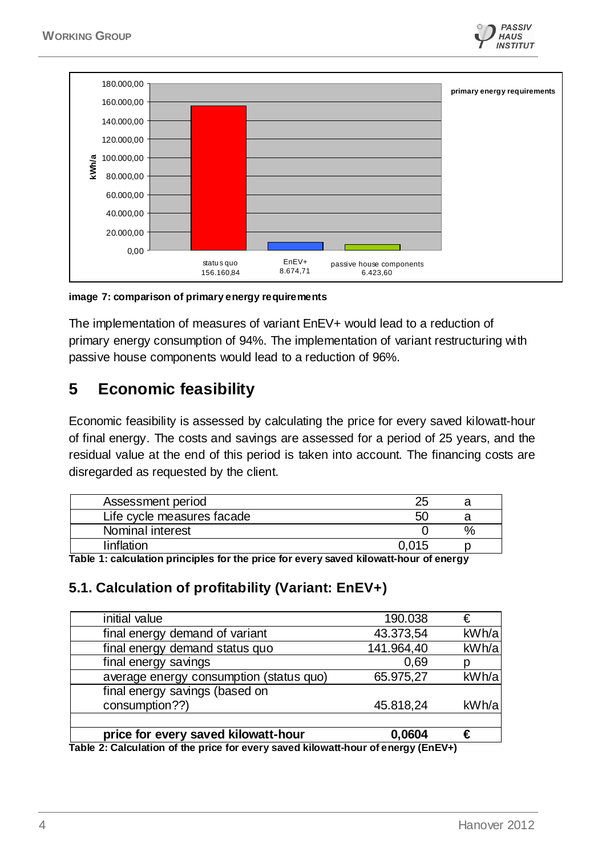



**image 7: comparison of primary energy requirements**

The implementation of measures of variant EnEV+ would lead to a reduction of primary energy consumption of 94%. The implementation of variant restructuring with passive house components would lead to a reduction of 96%.

## **5 Economic feasibility**

Economic feasibility is assessed by calculating the price for every saved kilowatt-hour of final energy. The costs and savings are assessed for a period of 25 years, and the residual value at the end of this period is taken into account. The financing costs are disregarded as requested by the client.

| Assessment period          |       |  |
|----------------------------|-------|--|
| Life cycle measures facade | 50    |  |
| Nominal interest           |       |  |
| linflation                 | 0.015 |  |

**Table 1: calculation principles for the price for every saved kilowatt-hour of energy**

#### **5.1. Calculation of profitability (Variant: EnEV+)**

| price for every saved kilowatt-hour     | 0,0604     | €     |
|-----------------------------------------|------------|-------|
|                                         |            |       |
| consumption??)                          | 45.818,24  | kWh/a |
| final energy savings (based on          |            |       |
| average energy consumption (status quo) | 65.975,27  | kWh/a |
| final energy savings                    | 0,69       |       |
| final energy demand status quo          | 141.964,40 | kWh/a |
| final energy demand of variant          | 43.373,54  | kWh/a |
| initial value                           | 190.038    | €     |

**Table 2: Calculation of the price for every saved kilowatt-hour of energy (EnEV+)**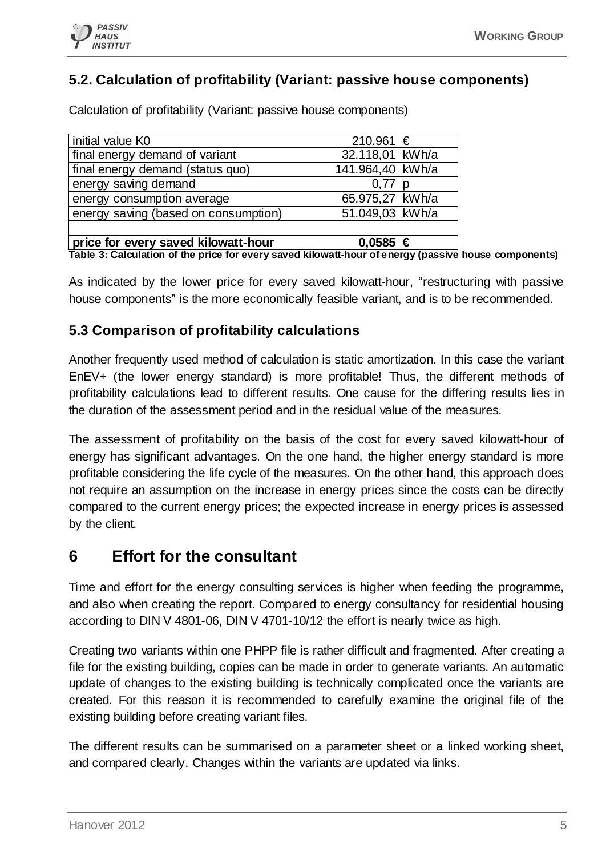

### **5.2. Calculation of profitability (Variant: passive house components)**

Calculation of profitability (Variant: passive house components)

| initial value K0                     | 210.961 €        |
|--------------------------------------|------------------|
| final energy demand of variant       | 32.118,01 kWh/a  |
| final energy demand (status quo)     | 141.964,40 kWh/a |
| energy saving demand                 | $0.77$ p         |
| energy consumption average           | 65.975,27 kWh/a  |
| energy saving (based on consumption) | 51.049,03 kWh/a  |
|                                      |                  |
| price for every saved kilowatt-hour  | $0,0585 \in$     |

**Table 3: Calculation of the price for every saved kilowatt-hour of energy (passive house components)**

As indicated by the lower price for every saved kilowatt-hour, "restructuring with passive house components" is the more economically feasible variant, and is to be recommended.

#### **5.3 Comparison of profitability calculations**

Another frequently used method of calculation is static amortization. In this case the variant EnEV+ (the lower energy standard) is more profitable! Thus, the different methods of profitability calculations lead to different results. One cause for the differing results lies in the duration of the assessment period and in the residual value of the measures.

The assessment of profitability on the basis of the cost for every saved kilowatt-hour of energy has significant advantages. On the one hand, the higher energy standard is more profitable considering the life cycle of the measures. On the other hand, this approach does not require an assumption on the increase in energy prices since the costs can be directly compared to the current energy prices; the expected increase in energy prices is assessed by the client.

## **6 Effort for the consultant**

Time and effort for the energy consulting services is higher when feeding the programme, and also when creating the report. Compared to energy consultancy for residential housing according to DIN V 4801-06, DIN V 4701-10/12 the effort is nearly twice as high.

Creating two variants within one PHPP file is rather difficult and fragmented. After creating a file for the existing building, copies can be made in order to generate variants. An automatic update of changes to the existing building is technically complicated once the variants are created. For this reason it is recommended to carefully examine the original file of the existing building before creating variant files.

The different results can be summarised on a parameter sheet or a linked working sheet, and compared clearly. Changes within the variants are updated via links.